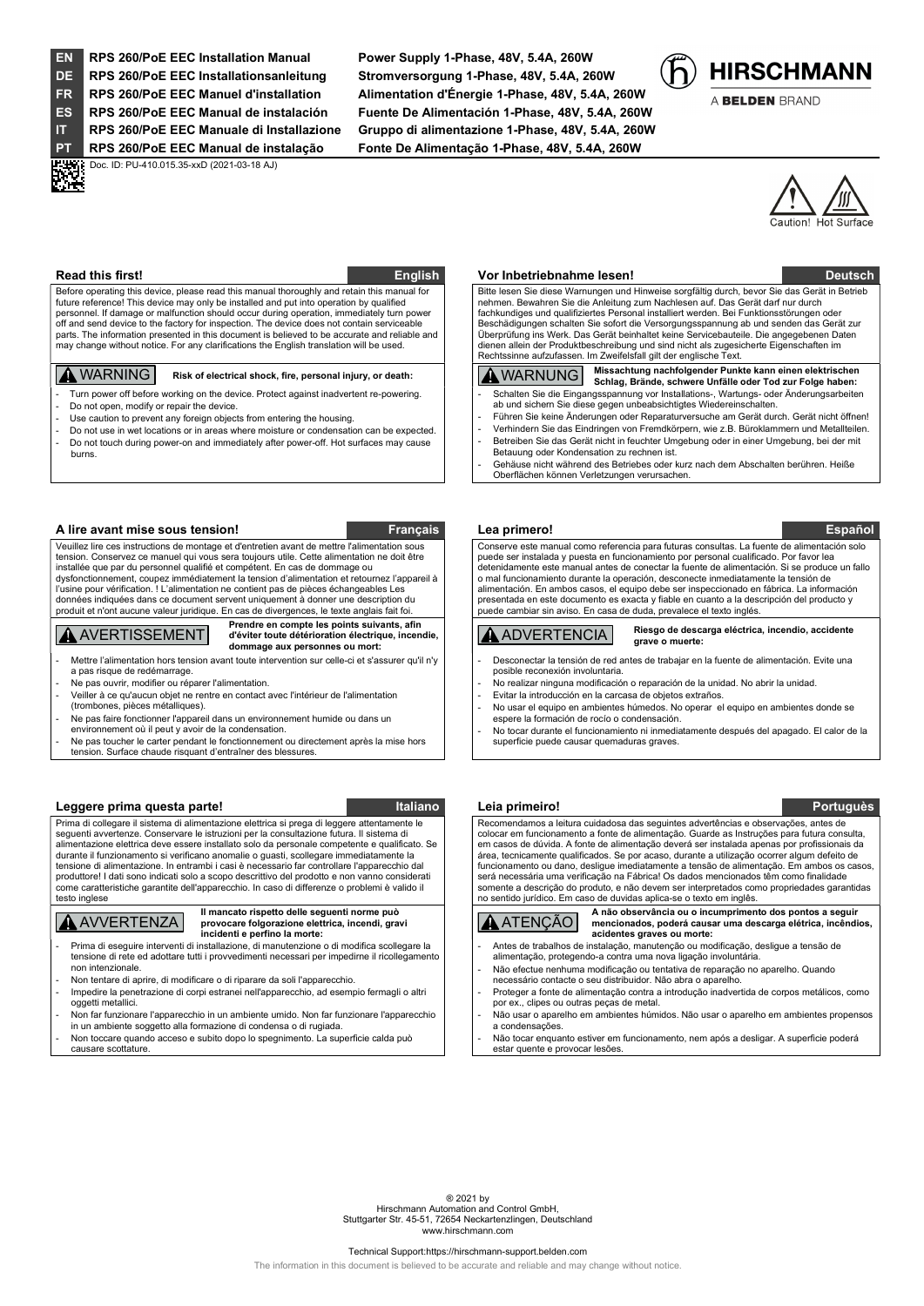EN RPS 260/PoE EEC Installation Manual Power Supply 1-Phase, 48V, 5.4A, 260W DE RPS 260/PoE EEC Installationsanleitung Stromversorgung 1-Phase, 48V, 5.4A, 260W **DECENT: Doc. ID: PU-410.015.35-xxD (2021-03-18 AJ)**<br>DICTURE<br>DECENTE:

FR RPS 260/PoE EEC Manuel d'installation Alimentation d'Énergie 1-Phase, 48V, 5.4A, 260W ES RPS 260/PoE EEC Manual de instalación Fuente De Alimentación 1-Phase, 48V, 5.4A, 260W IT RPS 260/PoE EEC Manuale di Installazione Gruppo di alimentazione 1-Phase, 48V, 5.4A, 260W PT RPS 260/PoE EEC Manual de instalação Fonte De Alimentação 1-Phase, 48V, 5.4A, 260W



A BELDEN BRAND



Before operating this device, please read this manual thoroughly and retain this manual fo future reference! This device may only be installed and put into operation by qualified personnel. If damage or malfunction should occur during operation, immediately turn power off and send device to the factory for inspection. The device does not contain serviceable parts. The information presented in this document is believed to be accurate and reliable and may change without notice. For any clarifications the English translation will be used.

Turn power off before working on the device. Protect against inadvertent re-powering.

- Do not open, modify or repair the device.
- Use caution to prevent any foreign objects from entering the housing.
- Do not use in wet locations or in areas where moisture or condensation can be expected. Do not touch during power-on and immediately after power-off. Hot surfaces may cause burns.

## A lire avant mise sous tension! The contraction of the state of the state of the Français Lea primero! The state of the state of the state of the state of the state of the state of the state of the state of the state of th

Veuillez lire ces instructions de montage et d'entretien avant de mettre l'alimentation sous on. Conservez ce manuel qui vous sera toujours utile. Cette alimentation ne doit être installée que par du personnel qualifié et compétent. En cas de dommage ou dysfonctionnement, coupez immédiatement la tension d'alimentation et retournez l'appareil à l'usine pour vérification. ! L'alimentation ne contient pas de pièces échangeables Les s indiquées dans ce document servent uniquement à donner une description du produit et n'ont aucune valeur juridique. En cas de divergences, le texte anglais fait foi.

# **A** AVERTISSEMENT

Prendre en compte les points suivants, afin d'éviter toute détérioration électrique, incendie, dommage aux personnes ou mort:

- Mettre l'alimentation hors tension avant toute intervention sur celle-ci et s'assurer qu'il n'y a pas risque de redémarrage.
- Ne pas ouvrir, modifier ou réparer l'alimentation.
- Veiller à ce qu'aucun objet ne rentre en contact avec l'intérieur de l'alimentation (trombones, pièces métalliques).
- Ne pas faire fonctionner l'appareil dans un environnement humide ou dans un
- environnement où il peut y avoir de la condensation.
- Ne pas toucher le carter pendant le fonctionnement ou directement après la mise hors tension. Surface chaude risquant d'entraîner des blessures

## Leggere prima questa parte! Italiano Italiano Leia primeiro! Portuguès en la primeiro en la primeira en la pri

Prima di collegare il sistema di alimentazione elettrica si prega di leggere attentamente le seguenti avvertenze. Conservare le istruzioni per la consultazione futura. Il sistema di alimentazione elettrica deve essere installato solo da personale competente e qualificato. Se durante il funzionamento si verificano anomalie o guasti, scollegare immediatamente la tensione di alimentazione. In entrambi i casi è necessario far controllare l'apparecchio dal produttore! I dati sono indicati solo a scopo descrittivo del prodotto e non vanno considerati come caratteristiche garantite dell'apparecchio. In caso di differenze o problemi è valido il testo inglese

# **AVVERTENZA**

Il mancato rispetto delle seguenti norme può provocare folgorazione elettrica, incendi, gravi incidenti e perfino la morte:

- Prima di eseguire interventi di installazione, di manutenzione o di modifica scollegare la tensione di rete ed adottare tutti i provvedimenti necessari per impedirne il ricollegament non intenzionale.
- Non tentare di aprire, di modificare o di riparare da soli l'apparecchio. Impedire la penetrazione di corpi estranei nell'apparecchio, ad esempio fermagli o altri oggetti metallici.
- Non far funzionare l'apparecchio in un ambiente umido. Non far funzionare l'apparecchio in un ambiente soggetto alla formazione di condensa o di rugiada.
- Non toccare quando acceso e subito dopo lo spegnimento. La superficie calda può causare scottature.

## Read this first! English World between the Changish Correspondence of the Changish Correspondence of the Deutsch

 Bitte lesen Sie diese Warnungen und Hinweise sorgfältig durch, bevor Sie das Gerät in Betrieb nehmen. Bewahren Sie die Anleitung zum Nachlesen auf. Das Gerät darf nur durch fachkundiges und qualifiziertes Personal installiert werden. Bei Funktionsstörungen oder Beschädigungen schalten Sie sofort die Versorgungsspannung ab und senden das Gerät zur Überprüfung ins Werk. Das Gerät beinhaltet keine Servicebauteile. Die angegebenen Daten dienen allein der Produktbeschreibung und sind nicht als zugesicherte Eigenschaften im Rechtssinne aufzufassen. Im Zweifelsfall gilt der englische Text.

- WARNING Risk of electrical shock, fire, personal injury, or death: WARNUNG Missachtung nachfolgender Punkte kann einen elektrischen Schlag, Brände, schwere Unfälle oder Tod zur Folge haben: - Schalten Sie die Eingangsspannung vor Installations-, Wartungs- oder Änderungsarbeiten ab und sichern Sie diese gegen unbeabsichtigtes Wiedereinschalten.
	- Führen Sie keine Änderungen oder Reparaturversuche am Gerät durch. Gerät nicht öffnen! - Verhindern Sie das Eindringen von Fremdkörpern, wie z.B. Büroklammern und Metallteilen.
	- Betreiben Sie das Gerät nicht in feuchter Umgebung oder in einer Umgebung, bei der mit Betauung oder Kondensation zu rechnen ist.
	- Gehäuse nicht während des Betriebes oder kurz nach dem Abschalten berühren. Heiße Oberflächen können Verletzungen verursachen.

 Conserve este manual como referencia para futuras consultas. La fuente de alimentación solo puede ser instalada y puesta en funcionamiento por personal cualificado. Por favor lea detenidamente este manual antes de conectar la fuente de alimentación. Si se produce un fallo o mal funcionamiento durante la operación, desconecte inmediatamente la tensión de alimentación. En ambos casos, el equipo debe ser inspeccionado en fábrica. La información presentada en este documento es exacta y fiable en cuanto a la descripción del producto y puede cambiar sin aviso. En casa de duda, prevalece el texto inglés.

## ADVERTENCIA Riesgo de descarga eléctrica, incendio, accidente grave o muerte:

- Desconectar la tensión de red antes de trabajar en la fuente de alimentación. Evite una posible reconexión involuntaria.
- No realizar ninguna modificación o reparación de la unidad. No abrir la unidad. Evitar la introducción en la carcasa de objetos extraños
- No usar el equipo en ambientes húmedos. No operar el equipo en ambientes donde se espere la formación de rocío o condensación.
- No tocar durante el funcionamiento ni inmediatamente después del apagado. El calor de la superficie puede causar quemaduras graves.

 Recomendamos a leitura cuidadosa das seguintes advertências e observações, antes de colocar em funcionamento a fonte de alimentação. Guarde as Instruções para futura consulta, em casos de dúvida. A fonte de alimentação deverá ser instalada apenas por profissionais da área, tecnicamente qualificados. Se por acaso, durante a utilização ocorrer algum defeito de funcionamento ou dano, desligue imediatamente a tensão de alimentação. Em ambos os casos, será necessária uma verificação na Fábrica! Os dados mencionados têm como finalidade somente a descrição do produto, e não devem ser interpretados como propriedades garantidas no sentido jurídico. Em caso de duvidas aplica-se o texto em inglês.

ATENÇÃO A não observância ou o incumprimento dos pontos a seguir mencionados, poderá causar uma descarga elétrica, incêndios, acidentes graves ou morte: - Antes de trabalhos de instalação, manutenção ou modificação, desligue a tensão de

- alimentação, protegendo-a contra uma nova ligação involuntária
- Não efectue nenhuma modificação ou tentativa de reparação no aparelho. Quando necessário contacte o seu distribuidor. Não abra o aparelho.
- Proteger a fonte de alimentação contra a introdução inadvertida de corpos metálicos, como por ex., clipes ou outras peças de metal.
- Não usar o aparelho em ambientes húmidos. Não usar o aparelho em ambientes propensos a condensações.

Não tocar enquanto estiver em funcionamento, nem após a desligar. A superficie poderá estar quente e provocar lesões.

® 2021 by Hirschmann Automation and Control GmbH, Stuttgarter Str. 45-51, 72654 Neckartenzlingen, Deutschland www.hirschmann.com

## Technical Support:https://hirschmann-support.belden.com

The information in this document is believed to be accurate and reliable and may change without notice.